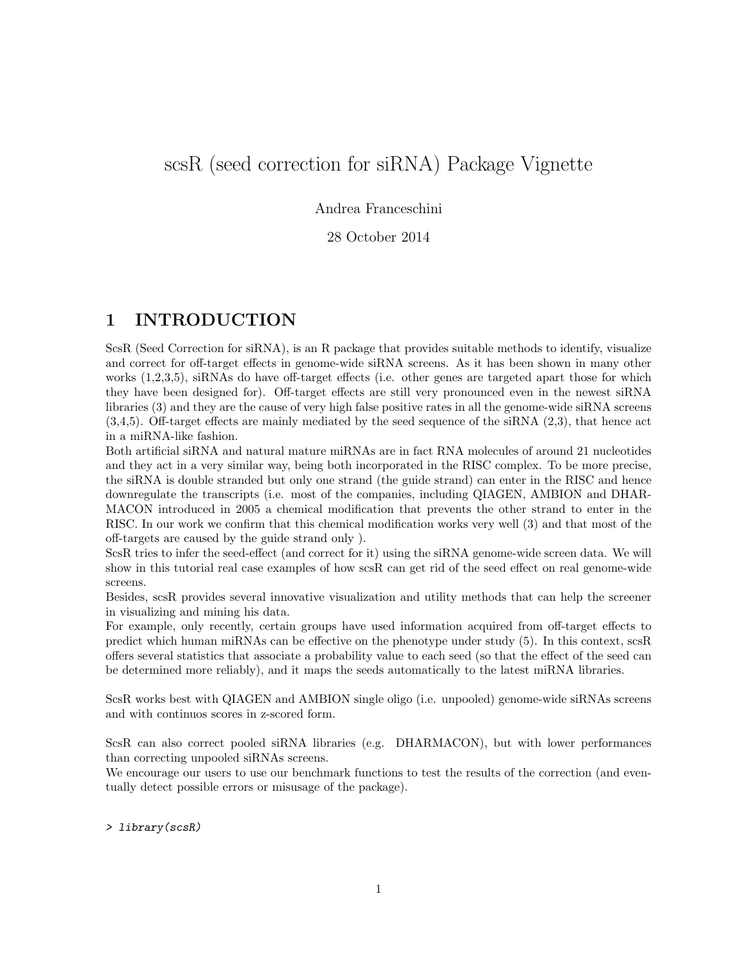# scsR (seed correction for siRNA) Package Vignette

Andrea Franceschini

28 October 2014

# 1 INTRODUCTION

ScsR (Seed Correction for siRNA), is an R package that provides suitable methods to identify, visualize and correct for off-target effects in genome-wide siRNA screens. As it has been shown in many other works  $(1,2,3,5)$ , siRNAs do have off-target effects (i.e. other genes are targeted apart those for which they have been designed for). Off-target effects are still very pronounced even in the newest siRNA libraries (3) and they are the cause of very high false positive rates in all the genome-wide siRNA screens  $(3,4,5)$ . Off-target effects are mainly mediated by the seed sequence of the siRNA  $(2,3)$ , that hence act in a miRNA-like fashion.

Both artificial siRNA and natural mature miRNAs are in fact RNA molecules of around 21 nucleotides and they act in a very similar way, being both incorporated in the RISC complex. To be more precise, the siRNA is double stranded but only one strand (the guide strand) can enter in the RISC and hence downregulate the transcripts (i.e. most of the companies, including QIAGEN, AMBION and DHAR-MACON introduced in 2005 a chemical modification that prevents the other strand to enter in the RISC. In our work we confirm that this chemical modification works very well (3) and that most of the off-targets are caused by the guide strand only ).

ScsR tries to infer the seed-effect (and correct for it) using the siRNA genome-wide screen data. We will show in this tutorial real case examples of how scsR can get rid of the seed effect on real genome-wide screens.

Besides, scsR provides several innovative visualization and utility methods that can help the screener in visualizing and mining his data.

For example, only recently, certain groups have used information acquired from off-target effects to predict which human miRNAs can be effective on the phenotype under study (5). In this context, scsR offers several statistics that associate a probability value to each seed (so that the effect of the seed can be determined more reliably), and it maps the seeds automatically to the latest miRNA libraries.

ScsR works best with QIAGEN and AMBION single oligo (i.e. unpooled) genome-wide siRNAs screens and with continuos scores in z-scored form.

ScsR can also correct pooled siRNA libraries (e.g. DHARMACON), but with lower performances than correcting unpooled siRNAs screens.

We encourage our users to use our benchmark functions to test the results of the correction (and eventually detect possible errors or misusage of the package).

> library(scsR)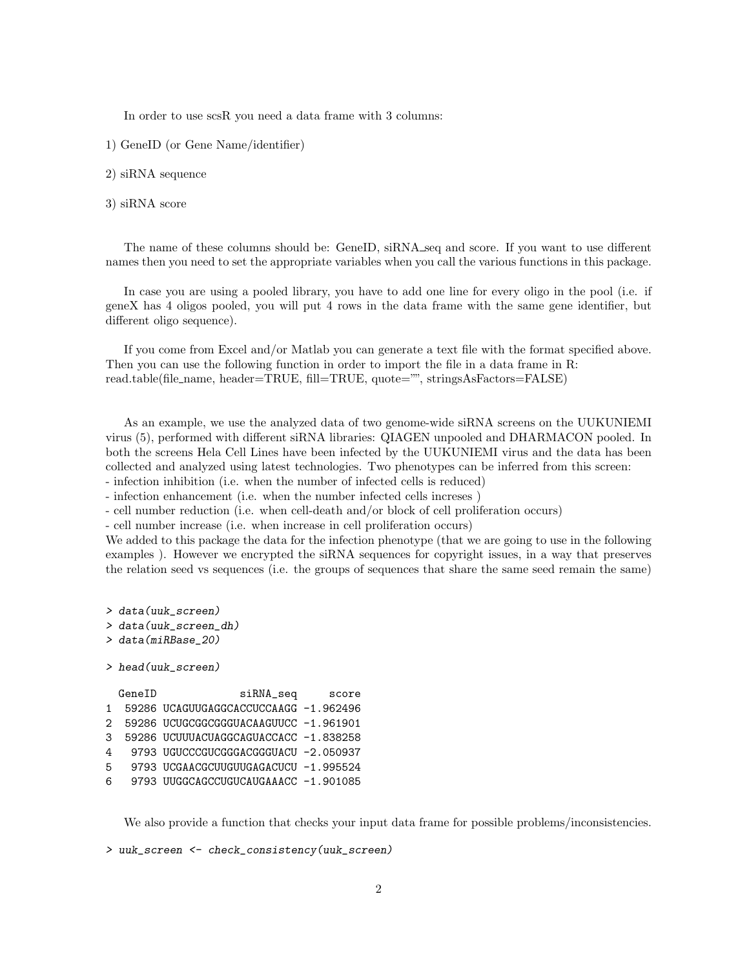In order to use scsR you need a data frame with 3 columns:

1) GeneID (or Gene Name/identifier)

#### 2) siRNA sequence

3) siRNA score

The name of these columns should be: GeneID, siRNA seq and score. If you want to use different names then you need to set the appropriate variables when you call the various functions in this package.

In case you are using a pooled library, you have to add one line for every oligo in the pool (i.e. if geneX has 4 oligos pooled, you will put 4 rows in the data frame with the same gene identifier, but different oligo sequence).

If you come from Excel and/or Matlab you can generate a text file with the format specified above. Then you can use the following function in order to import the file in a data frame in R: read.table(file name, header=TRUE, fill=TRUE, quote="", stringsAsFactors=FALSE)

As an example, we use the analyzed data of two genome-wide siRNA screens on the UUKUNIEMI virus (5), performed with different siRNA libraries: QIAGEN unpooled and DHARMACON pooled. In both the screens Hela Cell Lines have been infected by the UUKUNIEMI virus and the data has been collected and analyzed using latest technologies. Two phenotypes can be inferred from this screen: - infection inhibition (i.e. when the number of infected cells is reduced)

- infection enhancement (i.e. when the number infected cells increses )

- cell number reduction (i.e. when cell-death and/or block of cell proliferation occurs)

- cell number increase (i.e. when increase in cell proliferation occurs)

We added to this package the data for the infection phenotype (that we are going to use in the following examples ). However we encrypted the siRNA sequences for copyright issues, in a way that preserves the relation seed vs sequences (i.e. the groups of sequences that share the same seed remain the same)

> data(uuk\_screen)

- > data(uuk\_screen\_dh)
- > data(miRBase\_20)

> head(uuk\_screen)

|              | GeneID | siRNA_seq                             | score |
|--------------|--------|---------------------------------------|-------|
| $\mathbf{1}$ |        | 59286 UCAGUUGAGGCACCUCCAAGG -1.962496 |       |
| 2.           |        | 59286 UCUGCGGCGGGUACAAGUUCC -1.961901 |       |
| 3            |        | 59286 UCUUUACUAGGCAGUACCACC -1.838258 |       |
| 4            |        | 9793 UGUCCCGUCGGGACGGGUACU -2.050937  |       |
| 5            |        | 9793 UCGAACGCUUGUUGAGACUCU -1.995524  |       |
| 6            |        | 9793 UUGGCAGCCUGUCAUGAAACC -1.901085  |       |

We also provide a function that checks your input data frame for possible problems/inconsistencies.

```
> uuk_screen <- check_consistency(uuk_screen)
```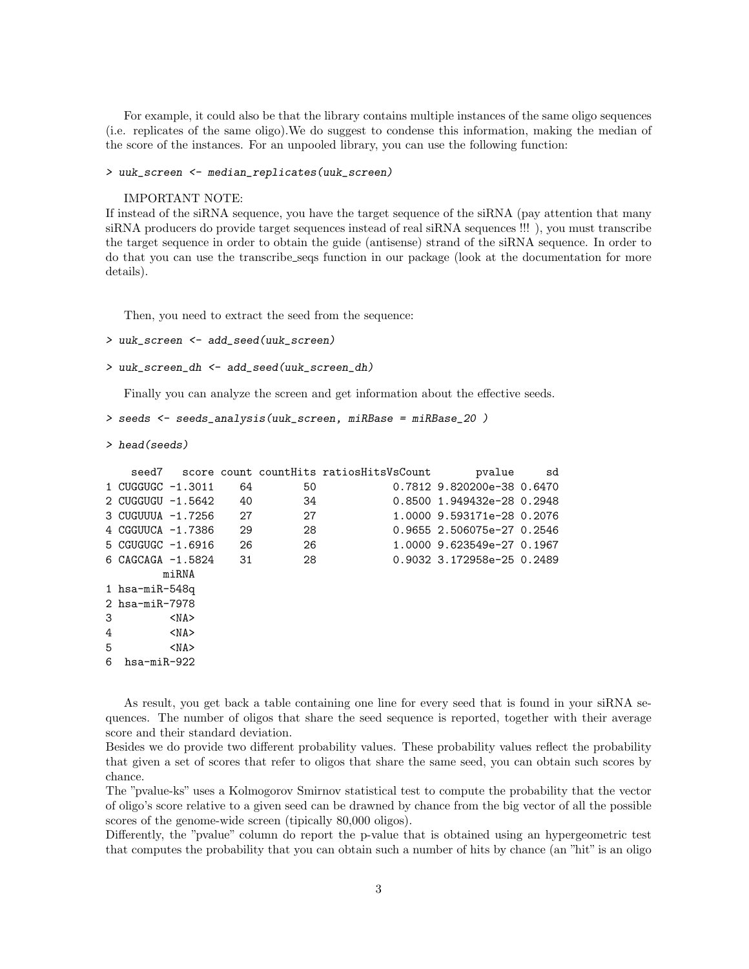For example, it could also be that the library contains multiple instances of the same oligo sequences (i.e. replicates of the same oligo).We do suggest to condense this information, making the median of the score of the instances. For an unpooled library, you can use the following function:

> uuk\_screen <- median\_replicates(uuk\_screen)

#### IMPORTANT NOTE:

If instead of the siRNA sequence, you have the target sequence of the siRNA (pay attention that many siRNA producers do provide target sequences instead of real siRNA sequences !!! ), you must transcribe the target sequence in order to obtain the guide (antisense) strand of the siRNA sequence. In order to do that you can use the transcribe seqs function in our package (look at the documentation for more details).

Then, you need to extract the seed from the sequence:

```
> uuk_screen <- add_seed(uuk_screen)
```
> uuk\_screen\_dh <- add\_seed(uuk\_screen\_dh)

Finally you can analyze the screen and get information about the effective seeds.

```
> seeds <- seeds_analysis(uuk_screen, miRBase = miRBase_20 )
```
> head(seeds)

|   | seed7             |                   |      |    | score count count Hits ratios Hits Vs Count | pvalue                     | sd |  |
|---|-------------------|-------------------|------|----|---------------------------------------------|----------------------------|----|--|
|   | 1 CUGGUGC -1.3011 |                   | 64   | 50 |                                             | 0.7812 9.820200e-38 0.6470 |    |  |
|   |                   | 2 CUGGUGU -1.5642 | - 40 | 34 |                                             | 0.8500 1.949432e-28 0.2948 |    |  |
|   | 3 CUGUUUA -1.7256 |                   | 27   | 27 |                                             | 1,0000 9.593171e-28 0.2076 |    |  |
|   | 4 CGGUUCA -1.7386 |                   | 29   | 28 |                                             | 0.9655 2.506075e-27 0.2546 |    |  |
|   | 5 CGUGUGC -1.6916 |                   | 26   | 26 |                                             | 1,0000 9.623549e-27 0.1967 |    |  |
|   | 6 CAGCAGA -1.5824 |                   | 31   | 28 |                                             | 0.9032 3.172958e-25 0.2489 |    |  |
|   |                   | miRNA             |      |    |                                             |                            |    |  |
|   | 1 hsa-miR-548q    |                   |      |    |                                             |                            |    |  |
|   | 2 hsa-miR-7978    |                   |      |    |                                             |                            |    |  |
| 3 |                   | $<$ NA $>$        |      |    |                                             |                            |    |  |
| 4 |                   | $<$ NA $>$        |      |    |                                             |                            |    |  |
| 5 |                   | $<$ NA $>$        |      |    |                                             |                            |    |  |
| 6 | $hsa-miR-922$     |                   |      |    |                                             |                            |    |  |
|   |                   |                   |      |    |                                             |                            |    |  |

As result, you get back a table containing one line for every seed that is found in your siRNA sequences. The number of oligos that share the seed sequence is reported, together with their average score and their standard deviation.

Besides we do provide two different probability values. These probability values reflect the probability that given a set of scores that refer to oligos that share the same seed, you can obtain such scores by chance.

The "pvalue-ks" uses a Kolmogorov Smirnov statistical test to compute the probability that the vector of oligo's score relative to a given seed can be drawned by chance from the big vector of all the possible scores of the genome-wide screen (tipically 80,000 oligos).

Differently, the "pvalue" column do report the p-value that is obtained using an hypergeometric test that computes the probability that you can obtain such a number of hits by chance (an "hit" is an oligo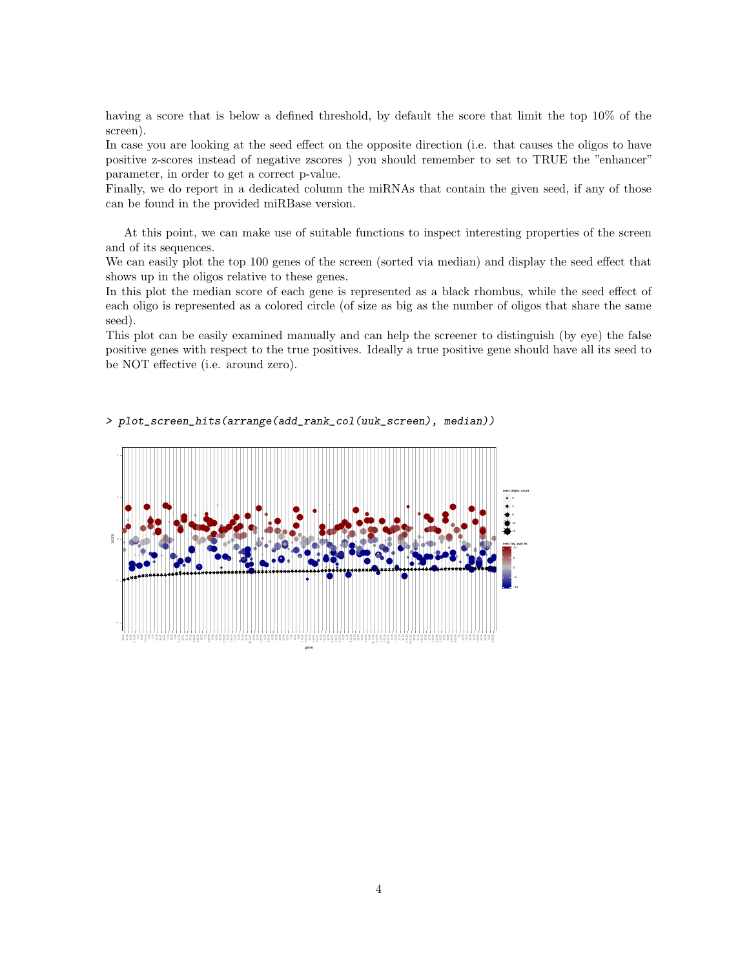having a score that is below a defined threshold, by default the score that limit the top 10% of the screen).

In case you are looking at the seed effect on the opposite direction (i.e. that causes the oligos to have positive z-scores instead of negative zscores ) you should remember to set to TRUE the "enhancer" parameter, in order to get a correct p-value.

Finally, we do report in a dedicated column the miRNAs that contain the given seed, if any of those can be found in the provided miRBase version.

At this point, we can make use of suitable functions to inspect interesting properties of the screen and of its sequences.

We can easily plot the top 100 genes of the screen (sorted via median) and display the seed effect that shows up in the oligos relative to these genes.

In this plot the median score of each gene is represented as a black rhombus, while the seed effect of each oligo is represented as a colored circle (of size as big as the number of oligos that share the same seed).

This plot can be easily examined manually and can help the screener to distinguish (by eye) the false positive genes with respect to the true positives. Ideally a true positive gene should have all its seed to be NOT effective (i.e. around zero).



> plot\_screen\_hits(arrange(add\_rank\_col(uuk\_screen), median))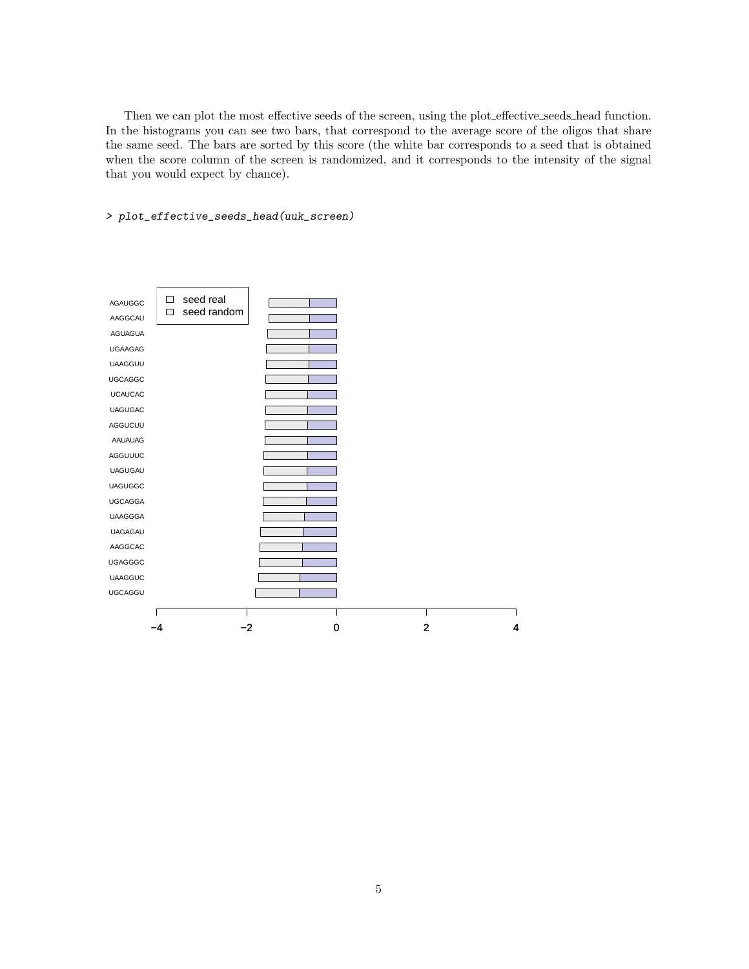Then we can plot the most effective seeds of the screen, using the plot effective seeds head function. In the histograms you can see two bars, that correspond to the average score of the oligos that share the same seed. The bars are sorted by this score (the white bar corresponds to a seed that is obtained when the score column of the screen is randomized, and it corresponds to the intensity of the signal that you would expect by chance).

### > plot\_effective\_seeds\_head(uuk\_screen)

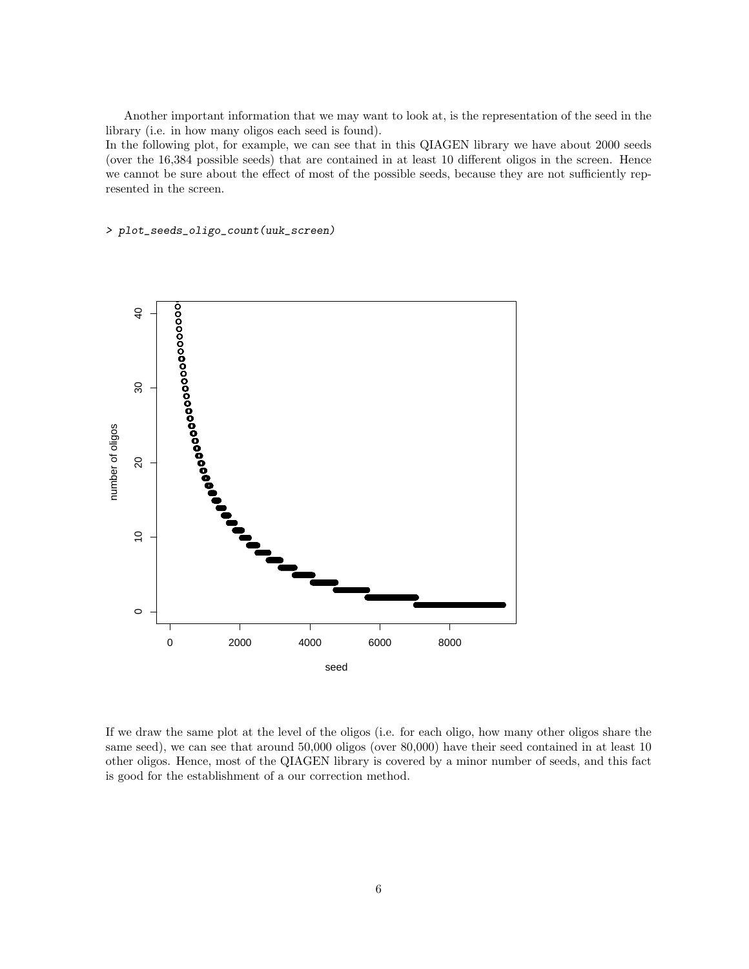Another important information that we may want to look at, is the representation of the seed in the library (i.e. in how many oligos each seed is found).

In the following plot, for example, we can see that in this QIAGEN library we have about 2000 seeds (over the 16,384 possible seeds) that are contained in at least 10 different oligos in the screen. Hence we cannot be sure about the effect of most of the possible seeds, because they are not sufficiently represented in the screen.

> plot\_seeds\_oligo\_count(uuk\_screen)



If we draw the same plot at the level of the oligos (i.e. for each oligo, how many other oligos share the same seed), we can see that around 50,000 oligos (over 80,000) have their seed contained in at least 10 other oligos. Hence, most of the QIAGEN library is covered by a minor number of seeds, and this fact is good for the establishment of a our correction method.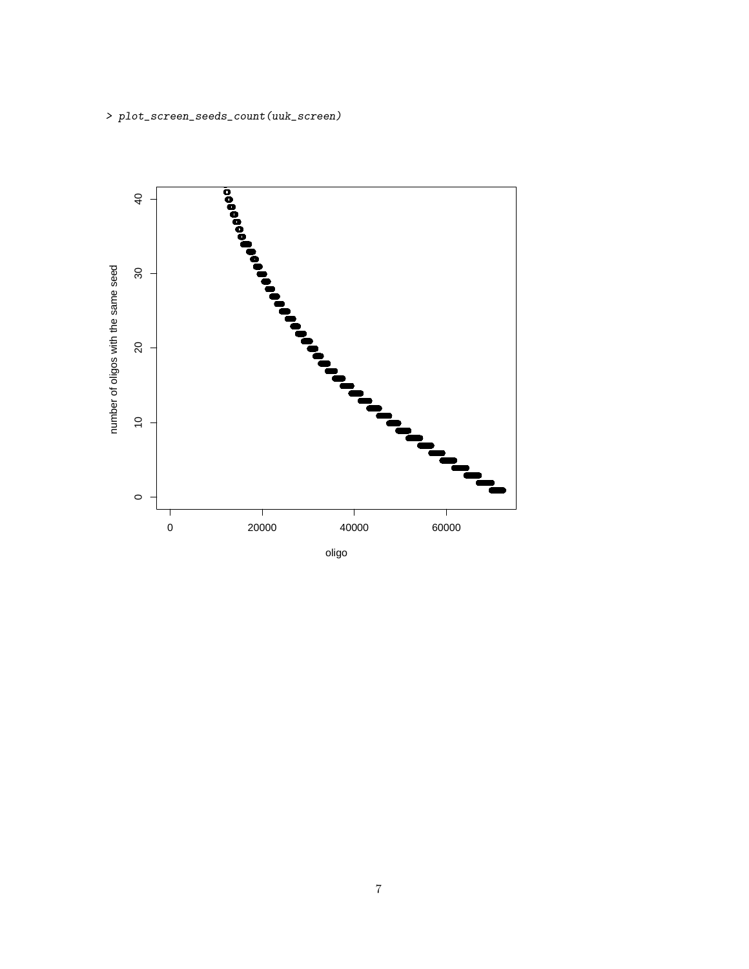> plot\_screen\_seeds\_count(uuk\_screen)

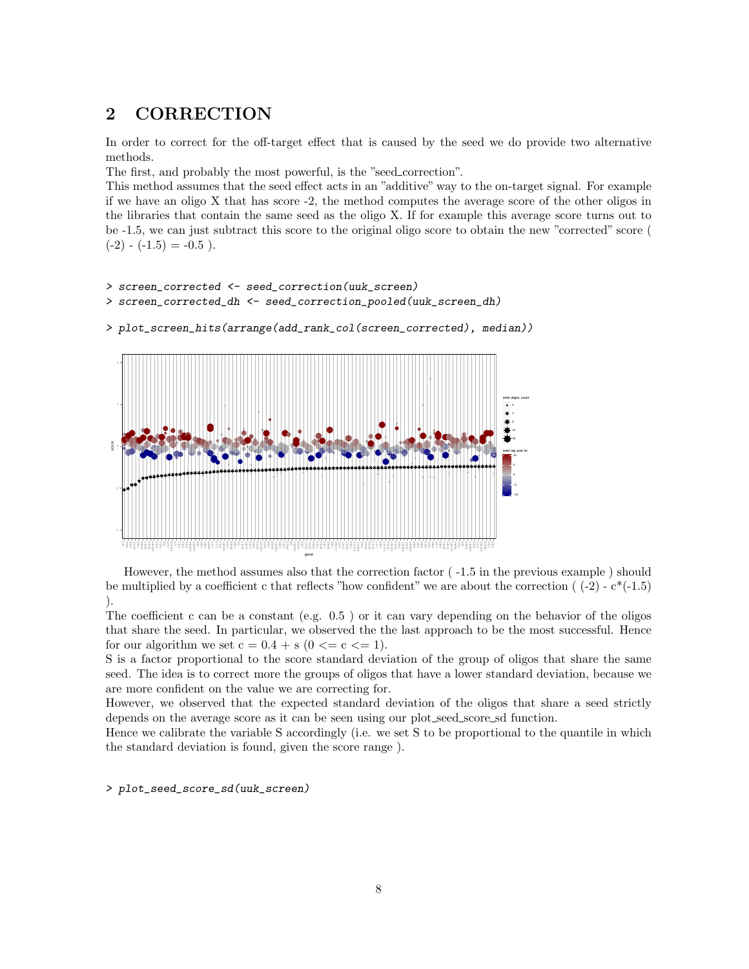## 2 CORRECTION

In order to correct for the off-target effect that is caused by the seed we do provide two alternative methods.

The first, and probably the most powerful, is the "seed correction".

This method assumes that the seed effect acts in an "additive" way to the on-target signal. For example if we have an oligo X that has score -2, the method computes the average score of the other oligos in the libraries that contain the same seed as the oligo X. If for example this average score turns out to be -1.5, we can just subtract this score to the original oligo score to obtain the new "corrected" score (  $(-2) - (-1.5) = -0.5$ .

```
> screen_corrected <- seed_correction(uuk_screen)
```
> screen\_corrected\_dh <- seed\_correction\_pooled(uuk\_screen\_dh)

> plot\_screen\_hits(arrange(add\_rank\_col(screen\_corrected), median))



However, the method assumes also that the correction factor ( -1.5 in the previous example ) should be multiplied by a coefficient c that reflects "how confident" we are about the correction ( $(-2)$  -  $c^*(-1.5)$ ) ).

The coefficient c can be a constant (e.g. 0.5 ) or it can vary depending on the behavior of the oligos that share the seed. In particular, we observed the the last approach to be the most successful. Hence for our algorithm we set  $c = 0.4 + s$  ( $0 \leq c \leq 1$ ).

S is a factor proportional to the score standard deviation of the group of oligos that share the same seed. The idea is to correct more the groups of oligos that have a lower standard deviation, because we are more confident on the value we are correcting for.

However, we observed that the expected standard deviation of the oligos that share a seed strictly depends on the average score as it can be seen using our plot\_seed\_score\_sd function.

Hence we calibrate the variable S accordingly (i.e. we set S to be proportional to the quantile in which the standard deviation is found, given the score range ).

> plot\_seed\_score\_sd(uuk\_screen)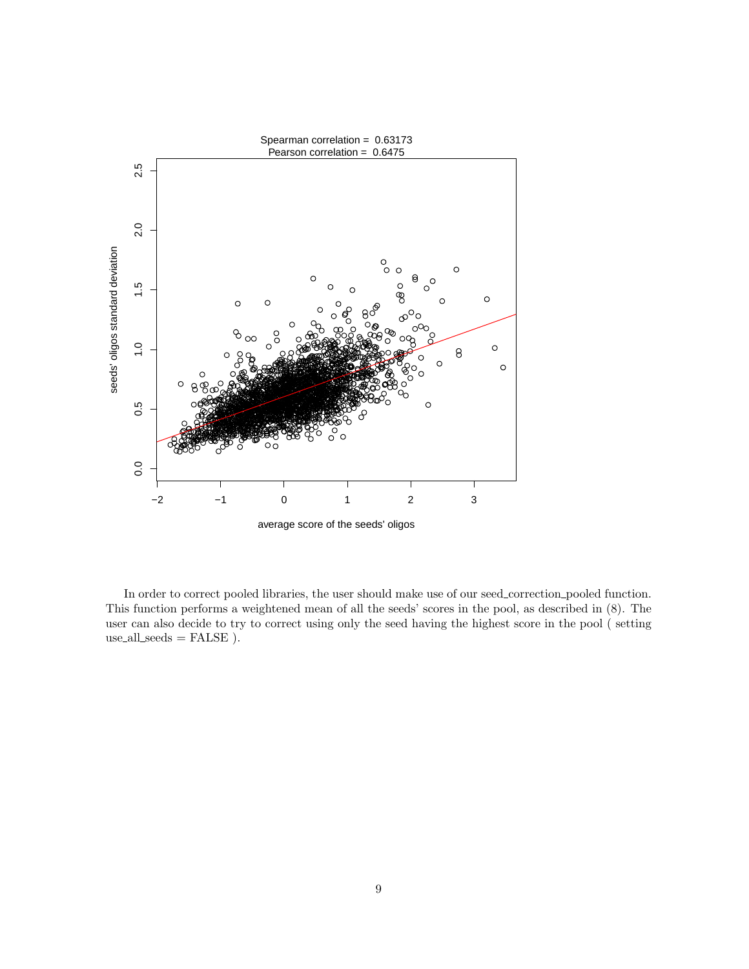

In order to correct pooled libraries, the user should make use of our seed\_correction\_pooled function. This function performs a weightened mean of all the seeds' scores in the pool, as described in (8). The user can also decide to try to correct using only the seed having the highest score in the pool (setting use\_all\_seeds =  $FALSE$  ).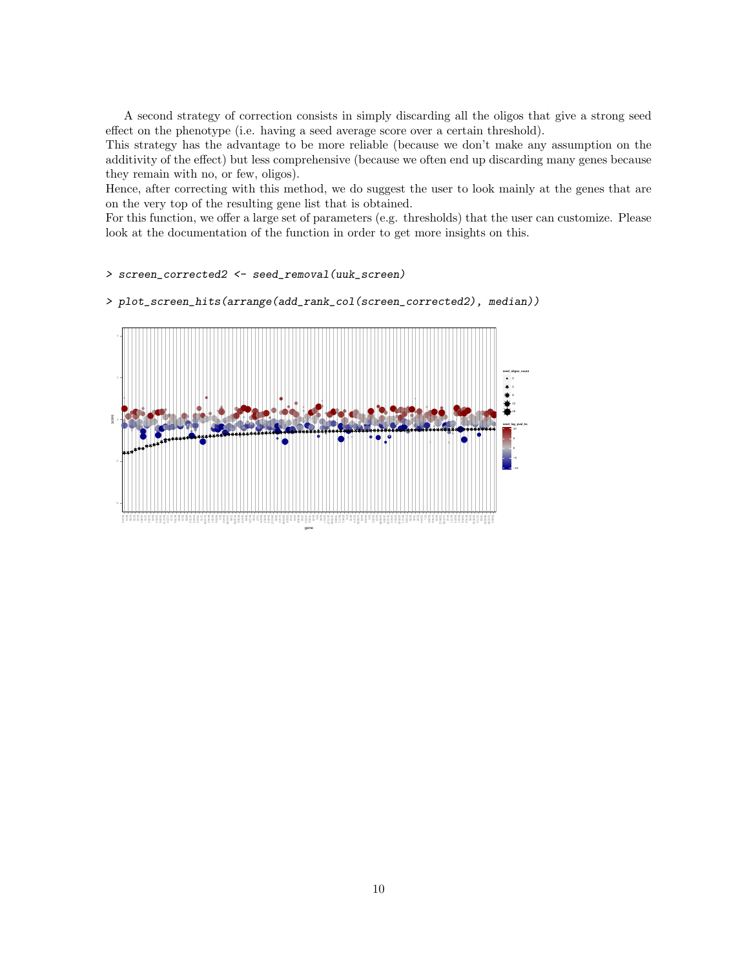A second strategy of correction consists in simply discarding all the oligos that give a strong seed effect on the phenotype (i.e. having a seed average score over a certain threshold).

This strategy has the advantage to be more reliable (because we don't make any assumption on the additivity of the effect) but less comprehensive (because we often end up discarding many genes because they remain with no, or few, oligos).

Hence, after correcting with this method, we do suggest the user to look mainly at the genes that are on the very top of the resulting gene list that is obtained.

For this function, we offer a large set of parameters (e.g. thresholds) that the user can customize. Please look at the documentation of the function in order to get more insights on this.

#### > screen\_corrected2 <- seed\_removal(uuk\_screen)

> plot\_screen\_hits(arrange(add\_rank\_col(screen\_corrected2), median))

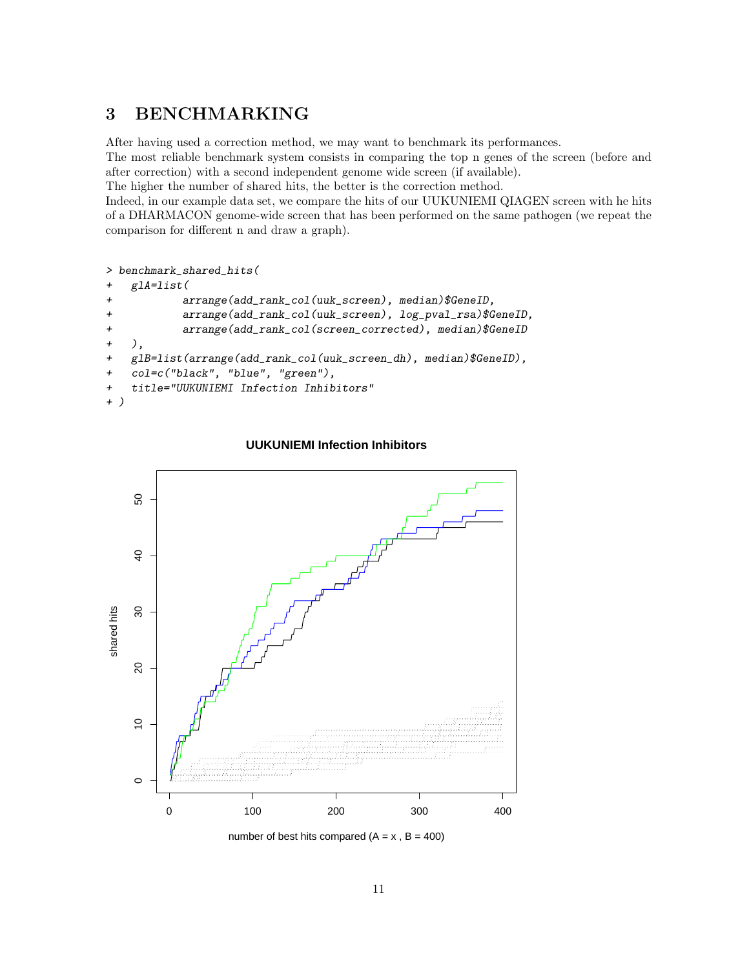# 3 BENCHMARKING

After having used a correction method, we may want to benchmark its performances.

The most reliable benchmark system consists in comparing the top n genes of the screen (before and after correction) with a second independent genome wide screen (if available).

The higher the number of shared hits, the better is the correction method.

Indeed, in our example data set, we compare the hits of our UUKUNIEMI QIAGEN screen with he hits of a DHARMACON genome-wide screen that has been performed on the same pathogen (we repeat the comparison for different n and draw a graph).

```
> benchmark_shared_hits(
+ glA=list(
           arrange(add_rank_col(uuk_screen), median)$GeneID,
+ arrange(add_rank_col(uuk_screen), log_pval_rsa)$GeneID,
           arrange(add_rank_col(screen_corrected), median)$GeneID
+ ),
+ glB=list(arrange(add_rank_col(uuk_screen_dh), median)$GeneID),
+ col=c("black", "blue", "green"),
+ title="UUKUNIEMI Infection Inhibitors"
+ )
```


### **UUKUNIEMI Infection Inhibitors**

number of best hits compared  $(A = x, B = 400)$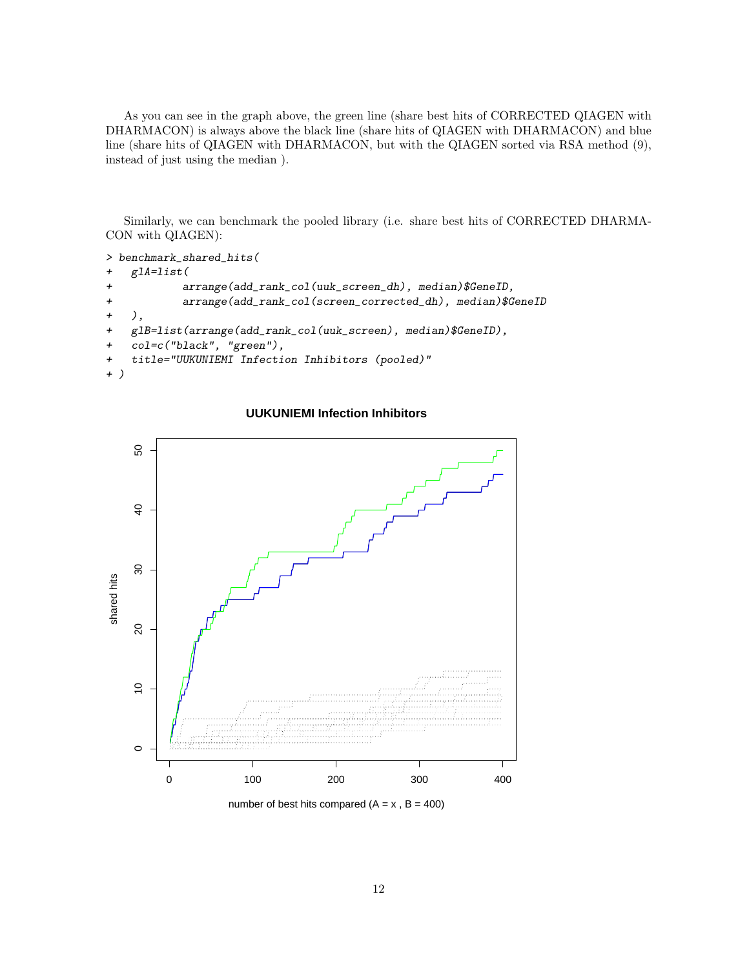As you can see in the graph above, the green line (share best hits of CORRECTED QIAGEN with DHARMACON) is always above the black line (share hits of QIAGEN with DHARMACON) and blue line (share hits of QIAGEN with DHARMACON, but with the QIAGEN sorted via RSA method (9), instead of just using the median ).

Similarly, we can benchmark the pooled library (i.e. share best hits of CORRECTED DHARMA-CON with QIAGEN):

```
> benchmark_shared_hits(
+ glA=list(
+ arrange(add_rank_col(uuk_screen_dh), median)$GeneID,
+ arrange(add_rank_col(screen_corrected_dh), median)$GeneID
+ ),
+ glB=list(arrange(add_rank_col(uuk_screen), median)$GeneID),
+ col=c("black", "green"),
+ title="UUKUNIEMI Infection Inhibitors (pooled)"
+ )
```


### **UUKUNIEMI Infection Inhibitors**

number of best hits compared  $(A = x, B = 400)$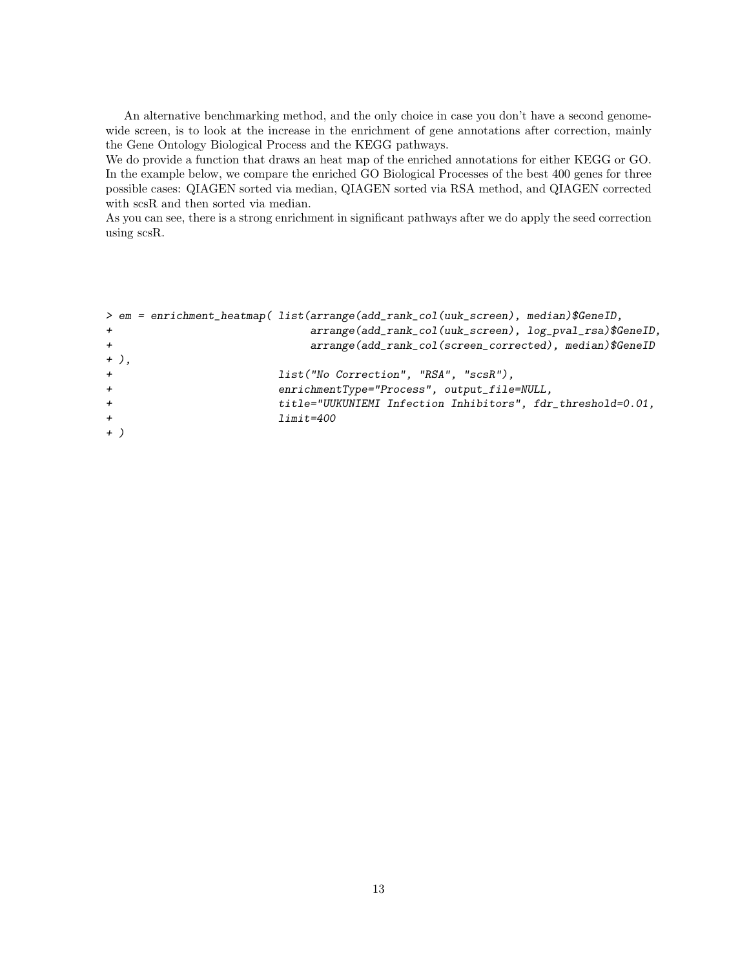An alternative benchmarking method, and the only choice in case you don't have a second genomewide screen, is to look at the increase in the enrichment of gene annotations after correction, mainly the Gene Ontology Biological Process and the KEGG pathways.

We do provide a function that draws an heat map of the enriched annotations for either KEGG or GO. In the example below, we compare the enriched GO Biological Processes of the best 400 genes for three possible cases: QIAGEN sorted via median, QIAGEN sorted via RSA method, and QIAGEN corrected with scsR and then sorted via median.

As you can see, there is a strong enrichment in significant pathways after we do apply the seed correction using scsR.

|              |        |  | > em = enrichment_heatmap( list(arrange(add_rank_col(uuk_screen), median)\$GeneID, |
|--------------|--------|--|------------------------------------------------------------------------------------|
| $+$          |        |  | arrange(add_rank_col(uuk_screen), log_pval_rsa)\$GeneID,                           |
| $+$          |        |  | arrange(add_rank_col(screen_corrected), median)\$GeneID                            |
|              | $+$ ), |  |                                                                                    |
| $+$          |        |  | list ("No Correction", "RSA", "scsR"),                                             |
| $+$          |        |  | enrichmentType="Process", output_file=NULL,                                        |
| $\leftarrow$ |        |  | title="UUKUNIEMI Infection Inhibitors", fdr_threshold=0.01,                        |
| $+$          |        |  | $limit = 400$                                                                      |
| $+$ )        |        |  |                                                                                    |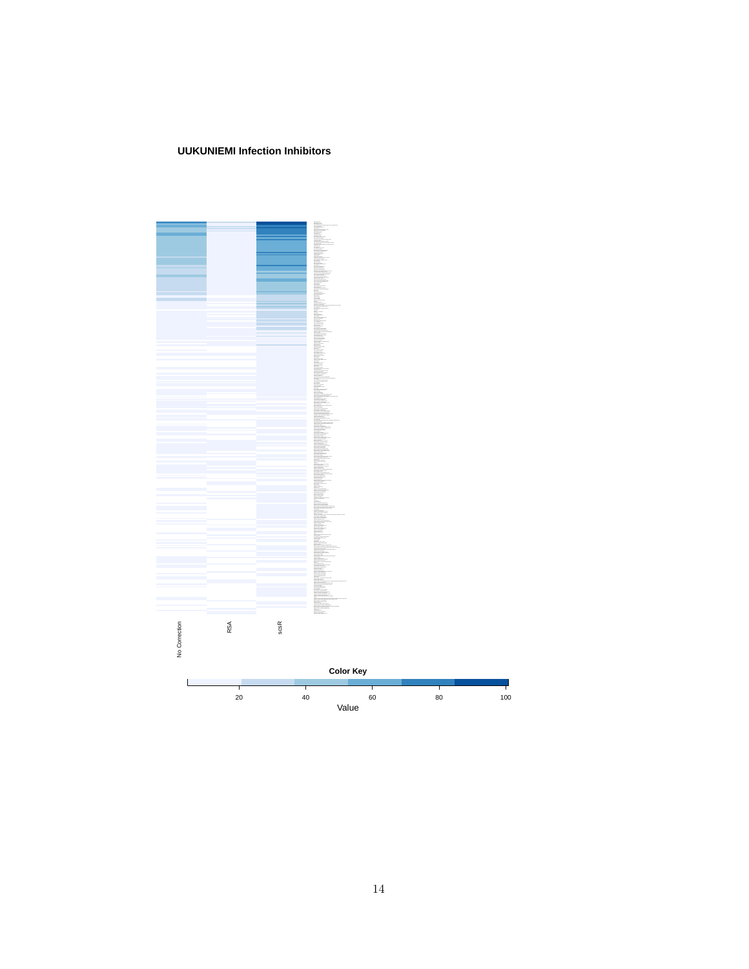### **UUKUNIEMI Infection Inhibitors**

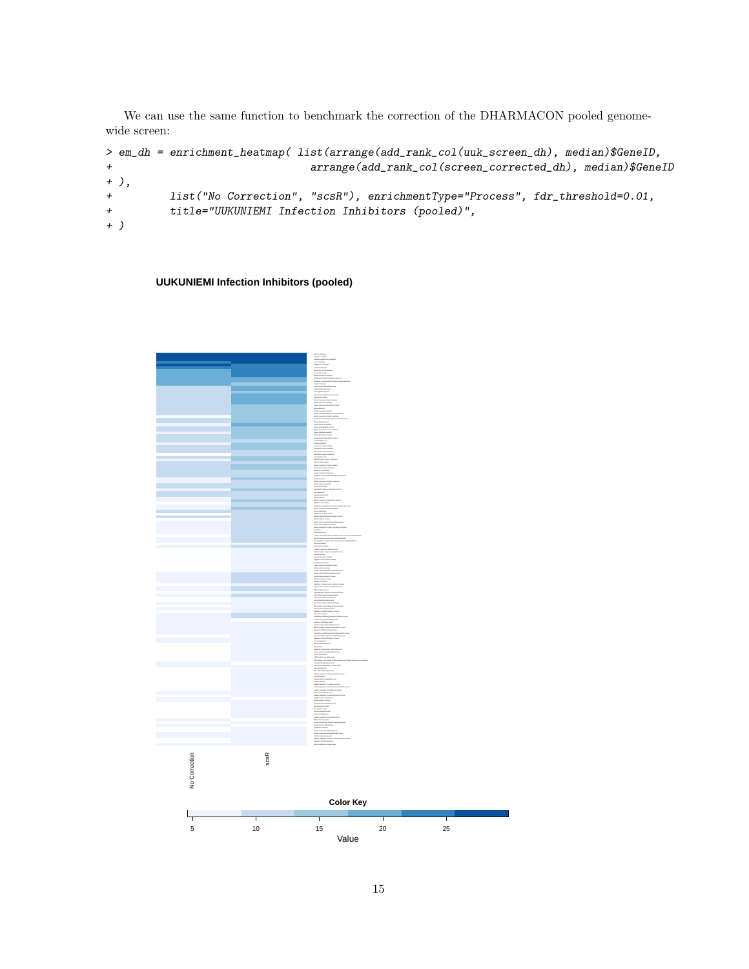We can use the same function to benchmark the correction of the DHARMACON pooled genomewide screen:

```
> em_dh = enrichment_heatmap( list(arrange(add_rank_col(uuk_screen_dh), median)$GeneID,
+ arrange(add_rank_col(screen_corrected_dh), median)$GeneID
+ ),
+ list("No Correction", "scsR"), enrichmentType="Process", fdr_threshold=0.01,
+ title="UUKUNIEMI Infection Inhibitors (pooled)",
+ )
```
### **UUKUNIEMI Infection Inhibitors (pooled)**